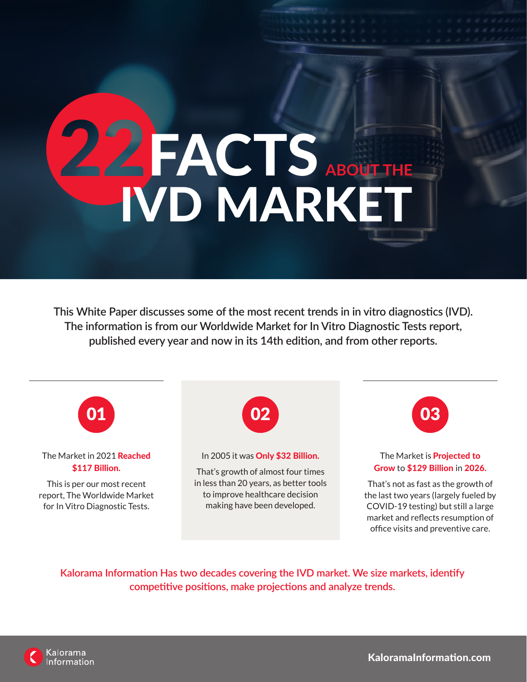# FACTS ABOUT THE IVD MARKET

**This White Paper discusses some of the most recent trends in in vitro diagnostics (IVD). The information is from our Worldwide Market for In Vitro Diagnostic Tests report, published every year and now in its 14th edition, and from other reports.**



**Kalorama Information Has two decades covering the IVD market. We size markets, identify competitive positions, make projections and analyze trends.**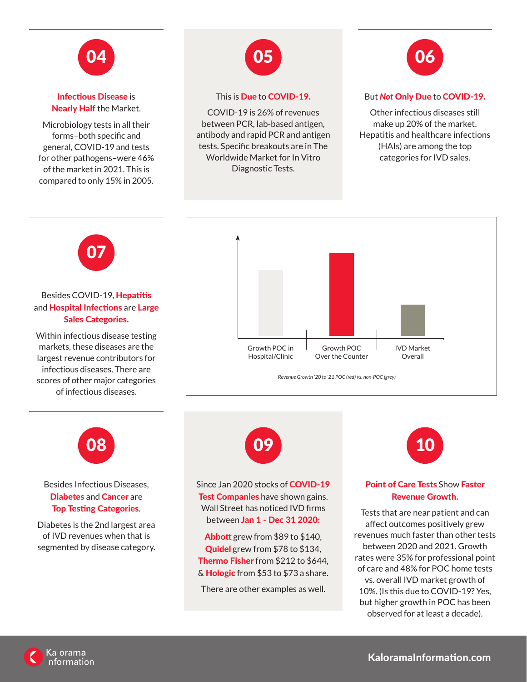

Infectious Disease is Nearly Half the Market.

Microbiology tests in all their forms–both specific and general, COVID-19 and tests for other pathogens–were 46% of the market in 2021. This is compared to only 15% in 2005.



#### This is Due to COVID-19.

COVID-19 is 26% of revenues between PCR, lab-based antigen, antibody and rapid PCR and antigen tests. Specific breakouts are in The Worldwide Market for In Vitro Diagnostic Tests.



# But *Not* Only Due to COVID-19.

Other infectious diseases still make up 20% of the market. Hepatitis and healthcare infections (HAIs) are among the top categories for IVD sales.



# Besides COVID-19, Hepatitis and **Hospital Infections** are Large Sales Categories.

Within infectious disease testing markets, these diseases are the largest revenue contributors for infectious diseases. There are scores of other major categories of infectious diseases.





# Besides Infectious Diseases, Diabetes and Cancer are Top Testing Categories.

Diabetes is the 2nd largest area of IVD revenues when that is segmented by disease category.



Since Jan 2020 stocks of COVID-19 Test Companies have shown gains. Wall Street has noticed IVD firms between Jan 1 - Dec 31 2020:

Abbott grew from \$89 to \$140, Quidel grew from \$78 to \$134, Thermo Fisher from \$212 to \$644, & **Hologic** from \$53 to \$73 a share.

There are other examples as well.



# Point of Care Tests Show Faster Revenue Growth.

Tests that are near patient and can affect outcomes positively grew revenues much faster than other tests between 2020 and 2021. Growth rates were 35% for professional point of care and 48% for POC home tests vs. overall IVD market growth of 10%. (Is this due to COVID-19? Yes, but higher growth in POC has been observed for at least a decade).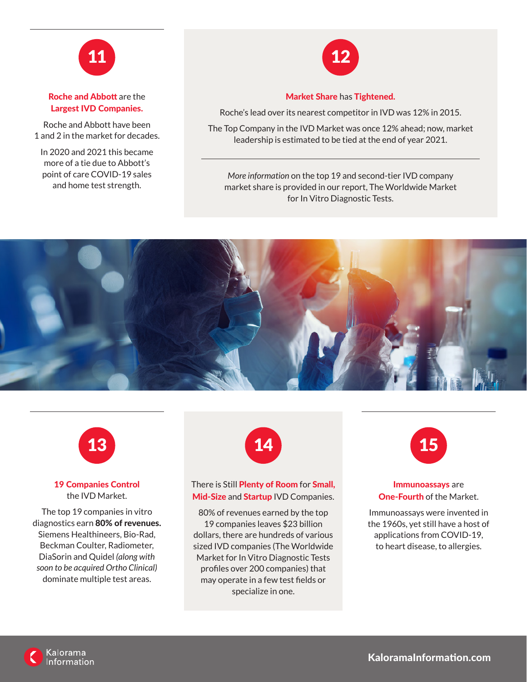

# Roche and Abbott are the Largest IVD Companies.

Roche and Abbott have been 1 and 2 in the market for decades.

In 2020 and 2021 this became more of a tie due to Abbott's point of care COVID-19 sales and home test strength.



#### Market Share has Tightened.

Roche's lead over its nearest competitor in IVD was 12% in 2015.

The Top Company in the IVD Market was once 12% ahead; now, market leadership is estimated to be tied at the end of year 2021.

*More information* on the top 19 and second-tier IVD company market share is provided in our report, The Worldwide Market for In Vitro Diagnostic Tests.





## 19 Companies Control the IVD Market.

The top 19 companies in vitro diagnostics earn 80% of revenues. Siemens Healthineers, Bio-Rad, Beckman Coulter, Radiometer, DiaSorin and Quidel *(along with soon to be acquired Ortho Clinical)* dominate multiple test areas.



## There is Still Plenty of Room for Small, Mid-Size and Startup IVD Companies.

80% of revenues earned by the top 19 companies leaves \$23 billion dollars, there are hundreds of various sized IVD companies (The Worldwide Market for In Vitro Diagnostic Tests profiles over 200 companies) that may operate in a few test fields or specialize in one.



#### Immunoassays are One-Fourth of the Market.

Immunoassays were invented in the 1960s, yet still have a host of applications from COVID-19, to heart disease, to allergies.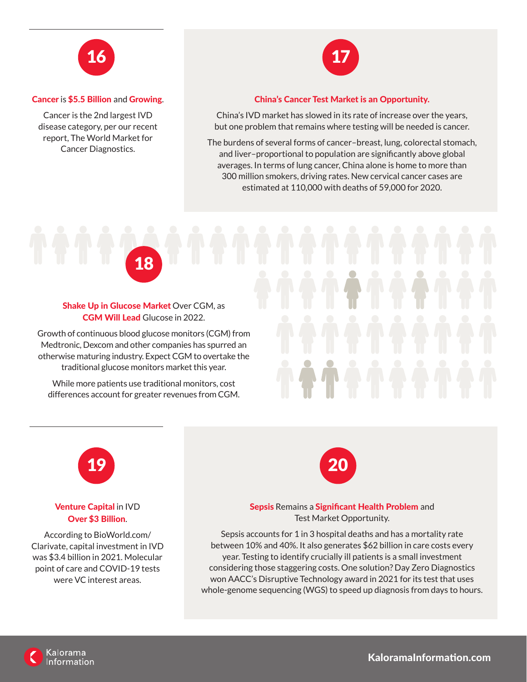

#### Cancer is \$5.5 Billion and Growing.

Cancer is the 2nd largest IVD disease category, per our recent report, The World Market for Cancer Diagnostics.



#### China's Cancer Test Market is an Opportunity.

China's IVD market has slowed in its rate of increase over the years, but one problem that remains where testing will be needed is cancer.

The burdens of several forms of cancer–breast, lung, colorectal stomach, and liver–proportional to population are significantly above global averages. In terms of lung cancer, China alone is home to more than 300 million smokers, driving rates. New cervical cancer cases are estimated at 110,000 with deaths of 59,000 for 2020.

18

## Shake Up in Glucose Market Over CGM, as CGM Will Lead Glucose in 2022.

Growth of continuous blood glucose monitors (CGM) from Medtronic, Dexcom and other companies has spurred an otherwise maturing industry. Expect CGM to overtake the traditional glucose monitors market this year.

While more patients use traditional monitors, cost differences account for greater revenues from CGM.



# Venture Capital in IVD Over \$3 Billion.

According to BioWorld.com/ Clarivate, capital investment in IVD was \$3.4 billion in 2021. Molecular point of care and COVID-19 tests were VC interest areas.



#### Sepsis Remains a Significant Health Problem and Test Market Opportunity.

Sepsis accounts for 1 in 3 hospital deaths and has a mortality rate between 10% and 40%. It also generates \$62 billion in care costs every year. Testing to identify crucially ill patients is a small investment considering those staggering costs. One solution? Day Zero Diagnostics won AACC's Disruptive Technology award in 2021 for its test that uses whole-genome sequencing (WGS) to speed up diagnosis from days to hours.